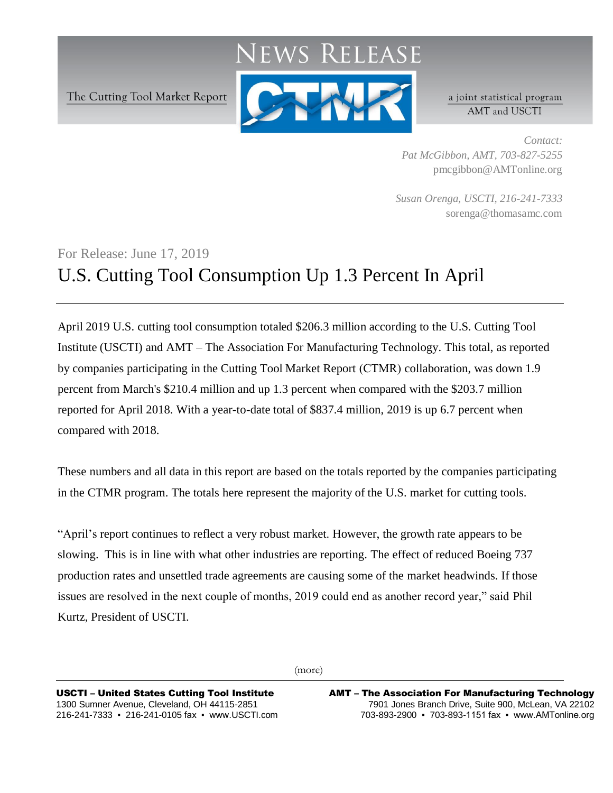## RELEASE

The Cutting Tool Market Report



a joint statistical program AMT and USCTI

*Contact: Pat McGibbon, AMT, 703-827-5255* pmcgibbon@AMTonline.org

*Susan Orenga, USCTI, 216-241-7333* sorenga@thomasamc.com

## For Release: June 17, 2019 U.S. Cutting Tool Consumption Up 1.3 Percent In April

April 2019 U.S. cutting tool consumption totaled \$206.3 million according to the U.S. Cutting Tool Institute (USCTI) and AMT – The Association For Manufacturing Technology. This total, as reported by companies participating in the Cutting Tool Market Report (CTMR) collaboration, was down 1.9 percent from March's \$210.4 million and up 1.3 percent when compared with the \$203.7 million reported for April 2018. With a year-to-date total of \$837.4 million, 2019 is up 6.7 percent when compared with 2018.

These numbers and all data in this report are based on the totals reported by the companies participating in the CTMR program. The totals here represent the majority of the U.S. market for cutting tools.

"April's report continues to reflect a very robust market. However, the growth rate appears to be slowing. This is in line with what other industries are reporting. The effect of reduced Boeing 737 production rates and unsettled trade agreements are causing some of the market headwinds. If those issues are resolved in the next couple of months, 2019 could end as another record year," said Phil Kurtz, President of USCTI.

(more)

USCTI – United States Cutting Tool Institute 1300 Sumner Avenue, Cleveland, OH 44115-2851 216-241-7333 ▪ 216-241-0105 fax ▪ www.USCTI.com AMT – The Association For Manufacturing Technology 7901 Jones Branch Drive, Suite 900, McLean, VA 22102 703-893-2900 ▪ 703-893-1151 fax ▪ www.AMTonline.org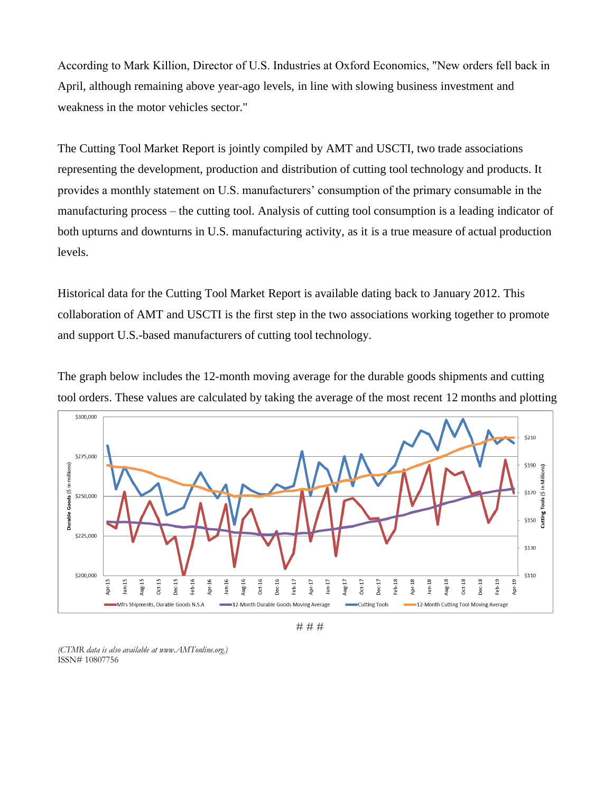According to Mark Killion, Director of U.S. Industries at Oxford Economics, "New orders fell back in April, although remaining above year-ago levels, in line with slowing business investment and weakness in the motor vehicles sector."

The Cutting Tool Market Report is jointly compiled by AMT and USCTI, two trade associations representing the development, production and distribution of cutting tool technology and products. It provides a monthly statement on U.S. manufacturers' consumption of the primary consumable in the manufacturing process – the cutting tool. Analysis of cutting tool consumption is a leading indicator of both upturns and downturns in U.S. manufacturing activity, as it is a true measure of actual production levels.

Historical data for the Cutting Tool Market Report is available dating back to January 2012. This collaboration of AMT and USCTI is the first step in the two associations working together to promote and support U.S.-based manufacturers of cutting tool technology.





# # #

*(CTMR data is also available at www.AMTonline.org.)* ISSN# 10807756